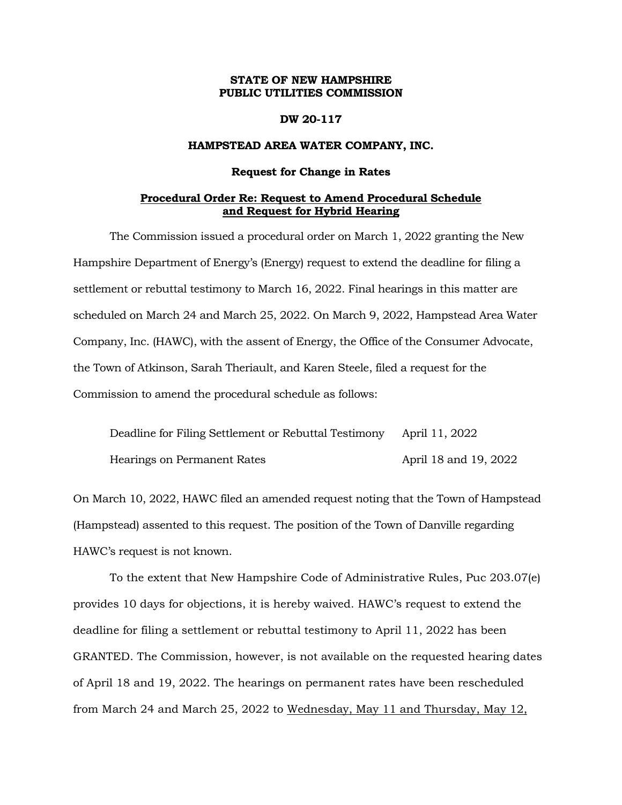# **STATE OF NEW HAMPSHIRE PUBLIC UTILITIES COMMISSION**

## **DW 20-117**

# **HAMPSTEAD AREA WATER COMPANY, INC.**

#### **Request for Change in Rates**

## **Procedural Order Re: Request to Amend Procedural Schedule and Request for Hybrid Hearing**

The Commission issued a procedural order on March 1, 2022 granting the New Hampshire Department of Energy's (Energy) request to extend the deadline for filing a settlement or rebuttal testimony to March 16, 2022. Final hearings in this matter are scheduled on March 24 and March 25, 2022. On March 9, 2022, Hampstead Area Water Company, Inc. (HAWC), with the assent of Energy, the Office of the Consumer Advocate, the Town of Atkinson, Sarah Theriault, and Karen Steele, filed a request for the Commission to amend the procedural schedule as follows:

| Deadline for Filing Settlement or Rebuttal Testimony April 11, 2022 |                       |
|---------------------------------------------------------------------|-----------------------|
| Hearings on Permanent Rates                                         | April 18 and 19, 2022 |

On March 10, 2022, HAWC filed an amended request noting that the Town of Hampstead (Hampstead) assented to this request. The position of the Town of Danville regarding HAWC's request is not known.

To the extent that New Hampshire Code of Administrative Rules, Puc 203.07(e) provides 10 days for objections, it is hereby waived. HAWC's request to extend the deadline for filing a settlement or rebuttal testimony to April 11, 2022 has been GRANTED. The Commission, however, is not available on the requested hearing dates of April 18 and 19, 2022. The hearings on permanent rates have been rescheduled from March 24 and March 25, 2022 to Wednesday, May 11 and Thursday, May 12,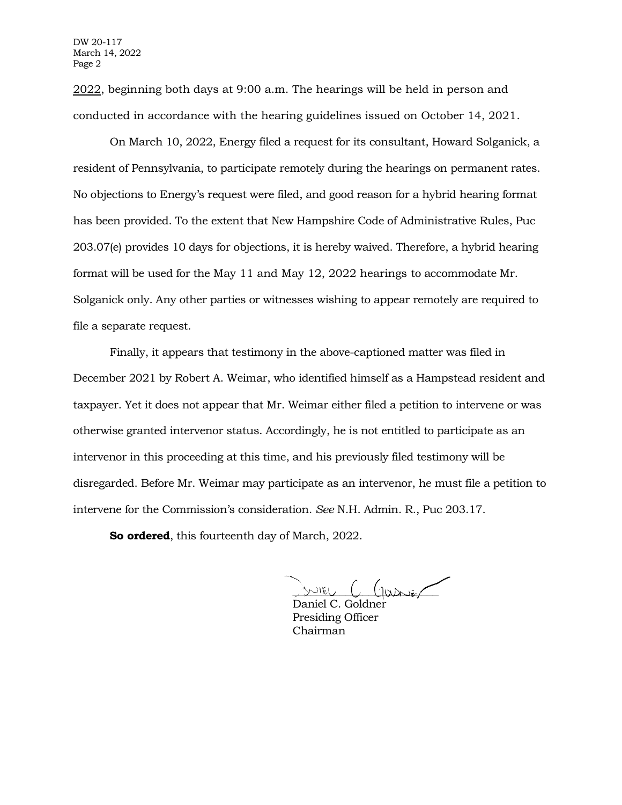2022, beginning both days at 9:00 a.m. The hearings will be held in person and conducted in accordance with the hearing guidelines issued on October 14, 2021.

On March 10, 2022, Energy filed a request for its consultant, Howard Solganick, a resident of Pennsylvania, to participate remotely during the hearings on permanent rates. No objections to Energy's request were filed, and good reason for a hybrid hearing format has been provided. To the extent that New Hampshire Code of Administrative Rules, Puc 203.07(e) provides 10 days for objections, it is hereby waived. Therefore, a hybrid hearing format will be used for the May 11 and May 12, 2022 hearings to accommodate Mr. Solganick only. Any other parties or witnesses wishing to appear remotely are required to file a separate request.

Finally, it appears that testimony in the above-captioned matter was filed in December 2021 by Robert A. Weimar, who identified himself as a Hampstead resident and taxpayer. Yet it does not appear that Mr. Weimar either filed a petition to intervene or was otherwise granted intervenor status. Accordingly, he is not entitled to participate as an intervenor in this proceeding at this time, and his previously filed testimony will be disregarded. Before Mr. Weimar may participate as an intervenor, he must file a petition to intervene for the Commission's consideration. *See* N.H. Admin. R., Puc 203.17.

**So ordered**, this fourteenth day of March, 2022.

 $m_{\text{EU}}$  (1000  $\sim$ 

Daniel C. Goldner Presiding Officer Chairman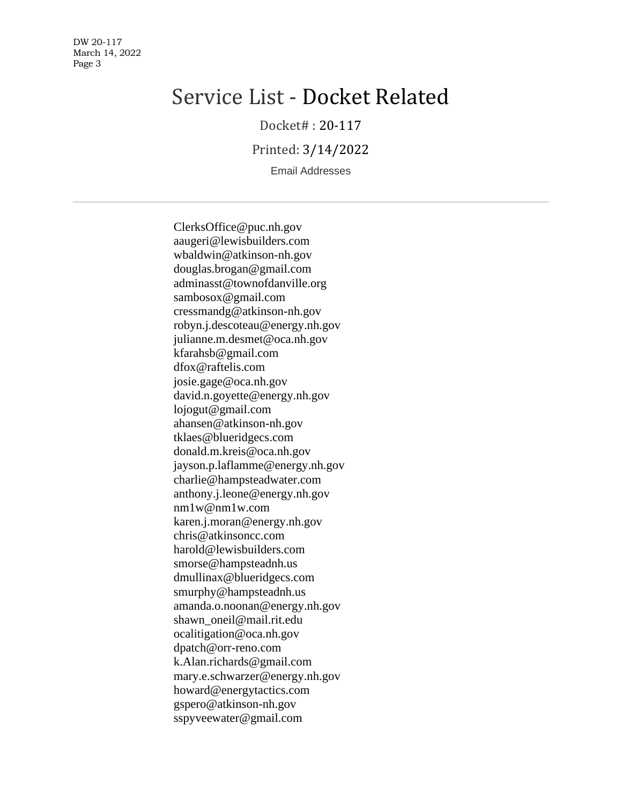DW 20-117 March 14, 2022 Page 3

# Service List - Docket Related

Docket# : 20-117

Printed: 3/14/2022

Email Addresses

ClerksOffice@puc.nh.gov aaugeri@lewisbuilders.com wbaldwin@atkinson-nh.gov douglas.brogan@gmail.com adminasst@townofdanville.org sambosox@gmail.com cressmandg@atkinson-nh.gov robyn.j.descoteau@energy.nh.gov julianne.m.desmet@oca.nh.gov kfarahsb@gmail.com dfox@raftelis.com josie.gage@oca.nh.gov david.n.goyette@energy.nh.gov lojogut@gmail.com ahansen@atkinson-nh.gov tklaes@blueridgecs.com donald.m.kreis@oca.nh.gov jayson.p.laflamme@energy.nh.gov charlie@hampsteadwater.com anthony.j.leone@energy.nh.gov nm1w@nm1w.com karen.j.moran@energy.nh.gov chris@atkinsoncc.com harold@lewisbuilders.com smorse@hampsteadnh.us dmullinax@blueridgecs.com smurphy@hampsteadnh.us amanda.o.noonan@energy.nh.gov shawn\_oneil@mail.rit.edu ocalitigation@oca.nh.gov dpatch@orr-reno.com k.Alan.richards@gmail.com mary.e.schwarzer@energy.nh.gov howard@energytactics.com gspero@atkinson-nh.gov sspyveewater@gmail.com